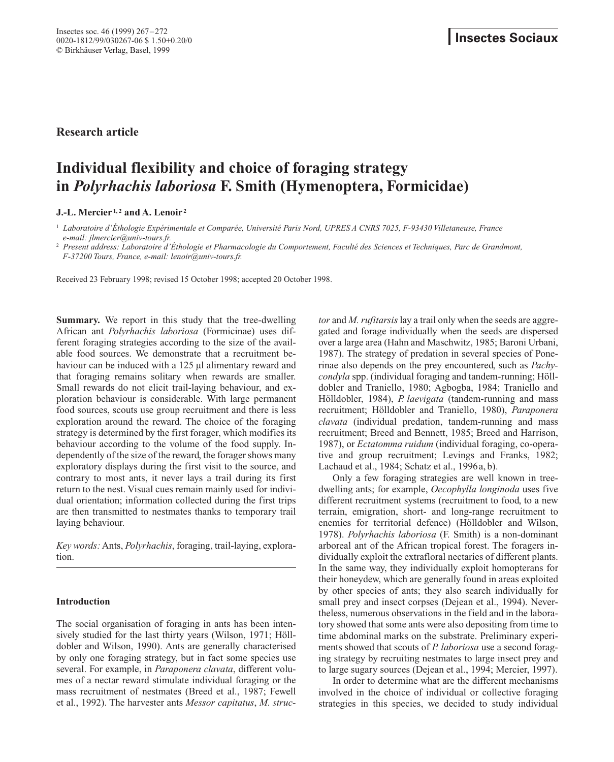**Research article**

# **Individual flexibility and choice of foraging strategy in** *Polyrhachis laboriosa* **F. Smith (Hymenoptera, Formicidae)**

# **J.-L. Mercier 1, 2 and A. Lenoir <sup>2</sup>**

<sup>1</sup> *Laboratoire d'Éthologie Expérimentale et Comparée, Université Paris Nord, UPRES A CNRS 7025, F-93430 Villetaneuse, France e-mail: jlmercier@univ-tours.fr.*

<sup>2</sup> *Present address: Laboratoire d'Éthologie et Pharmacologie du Comportement, Faculté des Sciences et Techniques, Parc de Grandmont, F-37200 Tours, France, e-mail: lenoir@univ-tours.fr.*

Received 23 February 1998; revised 15 October 1998; accepted 20 October 1998.

**Summary.** We report in this study that the tree-dwelling African ant *Polyrhachis laboriosa* (Formicinae) uses different foraging strategies according to the size of the available food sources. We demonstrate that a recruitment behaviour can be induced with a 125 µl alimentary reward and that foraging remains solitary when rewards are smaller. Small rewards do not elicit trail-laying behaviour, and exploration behaviour is considerable. With large permanent food sources, scouts use group recruitment and there is less exploration around the reward. The choice of the foraging strategy is determined by the first forager, which modifies its behaviour according to the volume of the food supply. Independently of the size of the reward, the forager shows many exploratory displays during the first visit to the source, and contrary to most ants, it never lays a trail during its first return to the nest. Visual cues remain mainly used for individual orientation; information collected during the first trips are then transmitted to nestmates thanks to temporary trail laying behaviour.

*Key words:*Ants, *Polyrhachis*, foraging, trail-laying, exploration.

# **Introduction**

The social organisation of foraging in ants has been intensively studied for the last thirty years (Wilson, 1971; Hölldobler and Wilson, 1990). Ants are generally characterised by only one foraging strategy, but in fact some species use several. For example, in *Paraponera clavata*, different volumes of a nectar reward stimulate individual foraging or the mass recruitment of nestmates (Breed et al., 1987; Fewell et al., 1992). The harvester ants *Messor capitatus*, *M. struc-* *tor* and *M. rufitarsis* lay a trail only when the seeds are aggregated and forage individually when the seeds are dispersed over a large area (Hahn and Maschwitz, 1985; Baroni Urbani, 1987). The strategy of predation in several species of Ponerinae also depends on the prey encountered, such as *Pachycondyla* spp. (individual foraging and tandem-running; Hölldobler and Traniello, 1980; Agbogba, 1984; Traniello and Hölldobler, 1984), *P. laevigata* (tandem-running and mass recruitment; Hölldobler and Traniello, 1980), *Paraponera clavata* (individual predation, tandem-running and mass recruitment; Breed and Bennett, 1985; Breed and Harrison, 1987), or *Ectatomma ruidum* (individual foraging, co-operative and group recruitment; Levings and Franks, 1982; Lachaud et al., 1984; Schatz et al., 1996a, b).

Only a few foraging strategies are well known in treedwelling ants; for example, *Oecophylla longinoda* uses five different recruitment systems (recruitment to food, to a new terrain, emigration, short- and long-range recruitment to enemies for territorial defence) (Hölldobler and Wilson, 1978). *Polyrhachis laboriosa* (F. Smith) is a non-dominant arboreal ant of the African tropical forest. The foragers individually exploit the extrafloral nectaries of different plants. In the same way, they individually exploit homopterans for their honeydew, which are generally found in areas exploited by other species of ants; they also search individually for small prey and insect corpses (Dejean et al., 1994). Nevertheless, numerous observations in the field and in the laboratory showed that some ants were also depositing from time to time abdominal marks on the substrate. Preliminary experiments showed that scouts of *P. laboriosa* use a second foraging strategy by recruiting nestmates to large insect prey and to large sugary sources (Dejean et al., 1994; Mercier, 1997).

In order to determine what are the different mechanisms involved in the choice of individual or collective foraging strategies in this species, we decided to study individual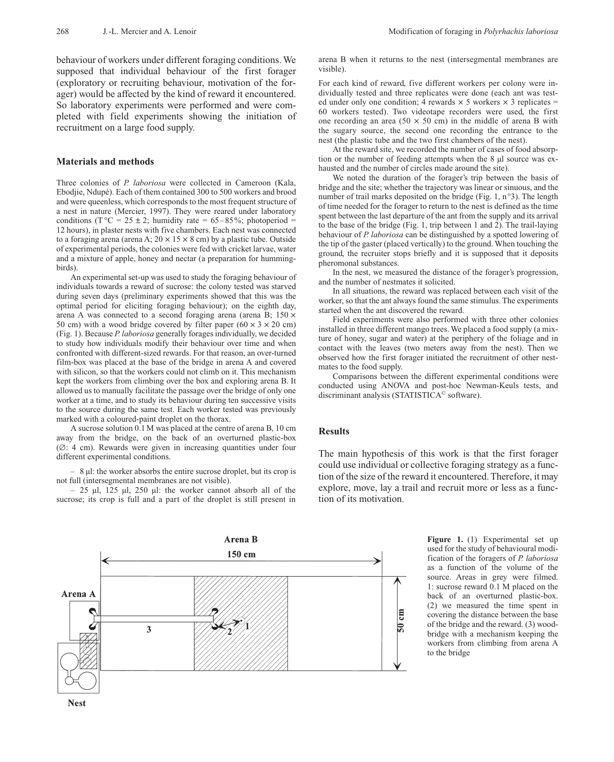behaviour of workers under different foraging conditions. We supposed that individual behaviour of the first forager (exploratory or recruiting behaviour, motivation of the forager) would be affected by the kind of reward it encountered. So laboratory experiments were performed and were completed with field experiments showing the initiation of recruitment on a large food supply.

#### **Materials and methods**

Three colonies of *P. laboriosa* were collected in Cameroon (Kala, Ebodjie, Ndupé). Each of them contained 300 to 500 workers and brood and were queenless, which corresponds to the most frequent structure of a nest in nature (Mercier, 1997). They were reared under laboratory conditions (T  $^{\circ}$ C = 25 ± 2; humidity rate = 65–85%; photoperiod = 12 hours), in plaster nests with five chambers. Each nest was connected to a foraging arena (arena A;  $20 \times 15 \times 8$  cm) by a plastic tube. Outside of experimental periods, the colonies were fed with cricket larvae, water and a mixture of apple, honey and nectar (a preparation for hummingbirds).

An experimental set-up was used to study the foraging behaviour of individuals towards a reward of sucrose: the colony tested was starved during seven days (preliminary experiments showed that this was the optimal period for eliciting foraging behaviour); on the eighth day, arena A was connected to a second foraging arena (arena B;  $150 \times$ 50 cm) with a wood bridge covered by filter paper  $(60 \times 3 \times 20 \text{ cm})$ (Fig. 1). Because *P. laboriosa* generally forages individually, we decided to study how individuals modify their behaviour over time and when confronted with different-sized rewards. For that reason, an over-turned film-box was placed at the base of the bridge in arena A and covered with silicon, so that the workers could not climb on it. This mechanism kept the workers from climbing over the box and exploring arena B. It allowed us to manually facilitate the passage over the bridge of only one worker at a time, and to study its behaviour during ten successive visits to the source during the same test. Each worker tested was previously marked with a coloured-paint droplet on the thorax.

A sucrose solution 0.1 M was placed at the centre of arena B, 10 cm away from the bridge, on the back of an overturned plastic-box (∆: 4 cm). Rewards were given in increasing quantities under four different experimental conditions.

– 8 µl: the worker absorbs the entire sucrose droplet, but its crop is not full (intersegmental membranes are not visible).

 $-$  25 µl, 125 µl, 250 µl: the worker cannot absorb all of the sucrose; its crop is full and a part of the droplet is still present in

arena B when it returns to the nest (intersegmental membranes are visible).

For each kind of reward, five different workers per colony were individually tested and three replicates were done (each ant was tested under only one condition; 4 rewards  $\times$  5 workers  $\times$  3 replicates = 60 workers tested). Two videotape recorders were used, the first one recording an area (50  $\times$  50 cm) in the middle of arena B with the sugary source, the second one recording the entrance to the nest (the plastic tube and the two first chambers of the nest).

At the reward site, we recorded the number of cases of food absorption or the number of feeding attempts when the 8 µl source was exhausted and the number of circles made around the site).

We noted the duration of the forager's trip between the basis of bridge and the site; whether the trajectory was linear or sinuous, and the number of trail marks deposited on the bridge (Fig. 1, n°3). The length of time needed for the forager to return to the nest is defined as the time spent between the last departure of the ant from the supply and its arrival to the base of the bridge (Fig. 1, trip between 1 and 2). The trail-laying behaviour of *P. laboriosa* can be distinguished by a spotted lowering of the tip of the gaster (placed vertically) to the ground. When touching the ground, the recruiter stops briefly and it is supposed that it deposits pheromonal substances.

In the nest, we measured the distance of the forager's progression, and the number of nestmates it solicited.

In all situations, the reward was replaced between each visit of the worker, so that the ant always found the same stimulus. The experiments started when the ant discovered the reward.

Field experiments were also performed with three other colonies installed in three different mango trees. We placed a food supply (a mixture of honey, sugar and water) at the periphery of the foliage and in contact with the leaves (two meters away from the nest). Then we observed how the first forager initiated the recruitment of other nestmates to the food supply.

Comparisons between the different experimental conditions were conducted using ANOVA and post-hoc Newman-Keuls tests, and discriminant analysis (STATISTICA© software).

#### **Results**

The main hypothesis of this work is that the first forager could use individual or collective foraging strategy as a function of the size of the reward it encountered. Therefore, it may explore, move, lay a trail and recruit more or less as a function of its motivation.



**Figure 1.** (1) Experimental set up used for the study of behavioural modification of the foragers of *P. laboriosa* as a function of the volume of the source. Areas in grey were filmed. 1: sucrose reward 0.1 M placed on the back of an overturned plastic-box. (2) we measured the time spent in covering the distance between the base of the bridge and the reward. (3) woodbridge with a mechanism keeping the workers from climbing from arena A to the bridge

**Nest**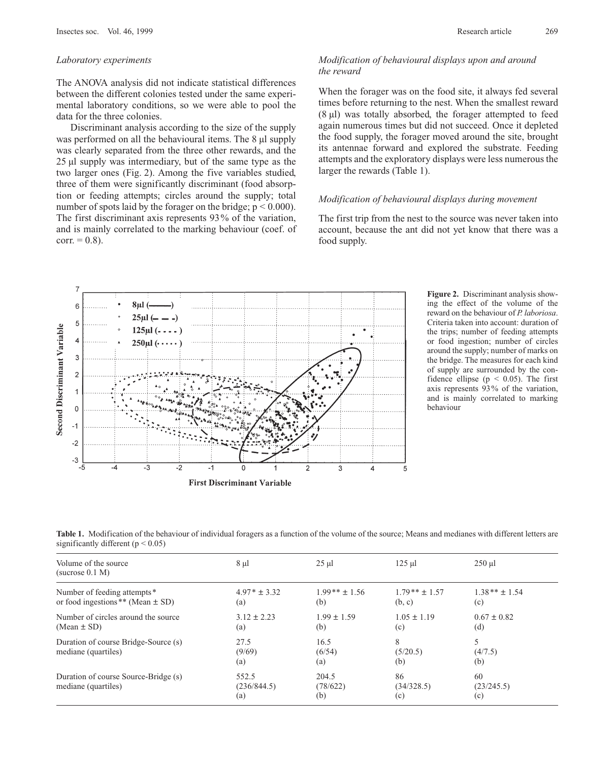## *Laboratory experiments*

The ANOVA analysis did not indicate statistical differences between the different colonies tested under the same experimental laboratory conditions, so we were able to pool the data for the three colonies.

Discriminant analysis according to the size of the supply was performed on all the behavioural items. The 8  $\mu$ l supply was clearly separated from the three other rewards, and the 25 µl supply was intermediary, but of the same type as the two larger ones (Fig. 2). Among the five variables studied, three of them were significantly discriminant (food absorption or feeding attempts; circles around the supply; total number of spots laid by the forager on the bridge;  $p < 0.000$ ). The first discriminant axis represents 93% of the variation, and is mainly correlated to the marking behaviour (coef. of  $corr. = 0.8$ ).

# *Modification of behavioural displays upon and around the reward*

When the forager was on the food site, it always fed several times before returning to the nest. When the smallest reward (8 µl) was totally absorbed, the forager attempted to feed again numerous times but did not succeed. Once it depleted the food supply, the forager moved around the site, brought its antennae forward and explored the substrate. Feeding attempts and the exploratory displays were less numerous the larger the rewards (Table 1).

# *Modification of behavioural displays during movement*

The first trip from the nest to the source was never taken into account, because the ant did not yet know that there was a food supply.



**Figure 2.** Discriminant analysis showing the effect of the volume of the reward on the behaviour of *P. laboriosa*. Criteria taken into account: duration of the trips; number of feeding attempts or food ingestion; number of circles around the supply; number of marks on the bridge. The measures for each kind of supply are surrounded by the confidence ellipse ( $p < 0.05$ ). The first axis represents 93% of the variation, and is mainly correlated to marking behaviour

**Table 1.** Modification of the behaviour of individual foragers as a function of the volume of the source; Means and medianes with different letters are significantly different ( $p < 0.05$ )

| Volume of the source<br>(sucrose 0.1 M)                              | $8 \mu l$                   | $25 \mu l$               | $125 \mu$                 | $250$ $\mu$             |
|----------------------------------------------------------------------|-----------------------------|--------------------------|---------------------------|-------------------------|
| Number of feeding attempts*<br>or food ingestions ** (Mean $\pm$ SD) | $4.97 * \pm 3.32$<br>(a)    | $1.99**$ ± 1.56<br>(b)   | $1.79**$ ± 1.57<br>(b, c) | $1.38** + 1.54$<br>(c)  |
| Number of circles around the source<br>$(Mean \pm SD)$               | $3.12 \pm 2.23$<br>(a)      | $1.99 \pm 1.59$<br>(b)   | $1.05 \pm 1.19$<br>(c)    | $0.67 \pm 0.82$<br>(d)  |
| Duration of course Bridge-Source (s)<br>mediane (quartiles)          | 27.5<br>(9/69)<br>(a)       | 16.5<br>(6/54)<br>(a)    | 8<br>(5/20.5)<br>(b)      | 5<br>(4/7.5)<br>(b)     |
| Duration of course Source-Bridge (s)<br>mediane (quartiles)          | 552.5<br>(236/844.5)<br>(a) | 204.5<br>(78/622)<br>(b) | 86<br>(34/328.5)<br>(c)   | 60<br>(23/245.5)<br>(c) |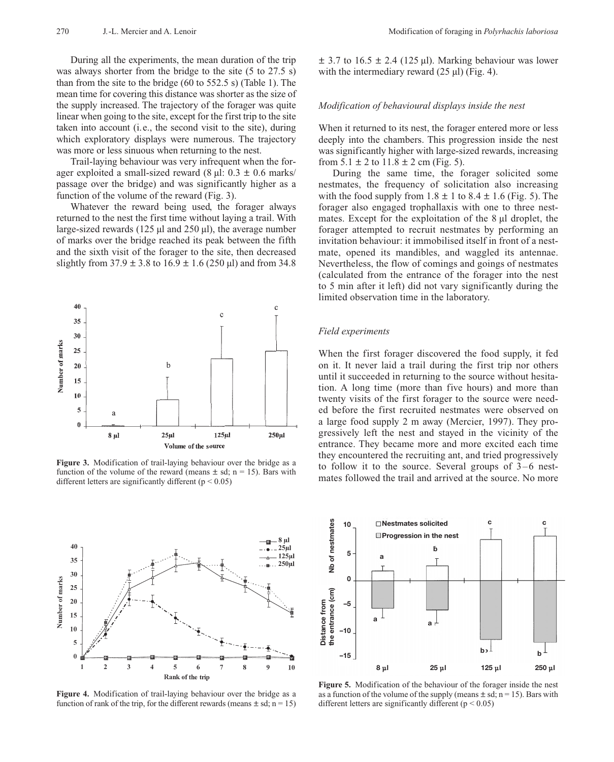During all the experiments, the mean duration of the trip was always shorter from the bridge to the site (5 to 27.5 s) than from the site to the bridge (60 to 552.5 s) (Table 1). The mean time for covering this distance was shorter as the size of the supply increased. The trajectory of the forager was quite linear when going to the site, except for the first trip to the site taken into account (i.e., the second visit to the site), during which exploratory displays were numerous. The trajectory was more or less sinuous when returning to the nest.

Trail-laying behaviour was very infrequent when the forager exploited a small-sized reward  $(8 \mu)$ :  $0.3 \pm 0.6$  marks/ passage over the bridge) and was significantly higher as a function of the volume of the reward (Fig. 3).

Whatever the reward being used, the forager always returned to the nest the first time without laying a trail. With large-sized rewards (125  $\mu$ l and 250  $\mu$ l), the average number of marks over the bridge reached its peak between the fifth and the sixth visit of the forager to the site, then decreased slightly from  $37.9 \pm 3.8$  to  $16.9 \pm 1.6$  (250 µl) and from 34.8



**Figure 3.** Modification of trail-laying behaviour over the bridge as a function of the volume of the reward (means  $\pm$  sd; n = 15). Bars with different letters are significantly different ( $p < 0.05$ )



**Figure 4.** Modification of trail-laying behaviour over the bridge as a function of rank of the trip, for the different rewards (means  $\pm$  sd; n = 15)

 $\pm$  3.7 to 16.5  $\pm$  2.4 (125 µl). Marking behaviour was lower with the intermediary reward  $(25 \mu l)$  (Fig. 4).

#### *Modification of behavioural displays inside the nest*

When it returned to its nest, the forager entered more or less deeply into the chambers. This progression inside the nest was significantly higher with large-sized rewards, increasing from  $5.1 \pm 2$  to  $11.8 \pm 2$  cm (Fig. 5).

During the same time, the forager solicited some nestmates, the frequency of solicitation also increasing with the food supply from  $1.8 \pm 1$  to  $8.4 \pm 1.6$  (Fig. 5). The forager also engaged trophallaxis with one to three nestmates. Except for the exploitation of the 8 µl droplet, the forager attempted to recruit nestmates by performing an invitation behaviour: it immobilised itself in front of a nestmate, opened its mandibles, and waggled its antennae. Nevertheless, the flow of comings and goings of nestmates (calculated from the entrance of the forager into the nest to 5 min after it left) did not vary significantly during the limited observation time in the laboratory.

### *Field experiments*

When the first forager discovered the food supply, it fed on it. It never laid a trail during the first trip nor others until it succeeded in returning to the source without hesitation. A long time (more than five hours) and more than twenty visits of the first forager to the source were needed before the first recruited nestmates were observed on a large food supply 2 m away (Mercier, 1997). They progressively left the nest and stayed in the vicinity of the entrance. They became more and more excited each time they encountered the recruiting ant, and tried progressively to follow it to the source. Several groups of 3–6 nestmates followed the trail and arrived at the source. No more



**Figure 5.** Modification of the behaviour of the forager inside the nest as a function of the volume of the supply (means  $\pm$  sd; n = 15). Bars with different letters are significantly different ( $p < 0.05$ )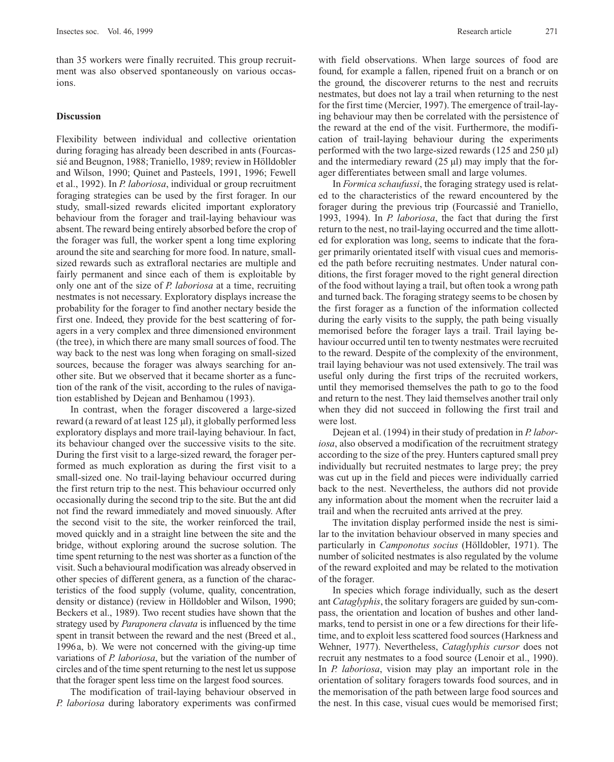than 35 workers were finally recruited. This group recruitment was also observed spontaneously on various occasions.

## **Discussion**

Flexibility between individual and collective orientation during foraging has already been described in ants (Fourcassié and Beugnon, 1988; Traniello, 1989; review in Hölldobler and Wilson, 1990; Quinet and Pasteels, 1991, 1996; Fewell et al., 1992). In *P. laboriosa*, individual or group recruitment foraging strategies can be used by the first forager. In our study, small-sized rewards elicited important exploratory behaviour from the forager and trail-laying behaviour was absent. The reward being entirely absorbed before the crop of the forager was full, the worker spent a long time exploring around the site and searching for more food. In nature, smallsized rewards such as extrafloral nectaries are multiple and fairly permanent and since each of them is exploitable by only one ant of the size of *P. laboriosa* at a time, recruiting nestmates is not necessary. Exploratory displays increase the probability for the forager to find another nectary beside the first one. Indeed, they provide for the best scattering of foragers in a very complex and three dimensioned environment (the tree), in which there are many small sources of food. The way back to the nest was long when foraging on small-sized sources, because the forager was always searching for another site. But we observed that it became shorter as a function of the rank of the visit, according to the rules of navigation established by Dejean and Benhamou (1993).

In contrast, when the forager discovered a large-sized reward (a reward of at least 125 µl), it globally performed less exploratory displays and more trail-laying behaviour. In fact, its behaviour changed over the successive visits to the site. During the first visit to a large-sized reward, the forager performed as much exploration as during the first visit to a small-sized one. No trail-laying behaviour occurred during the first return trip to the nest. This behaviour occurred only occasionally during the second trip to the site. But the ant did not find the reward immediately and moved sinuously. After the second visit to the site, the worker reinforced the trail, moved quickly and in a straight line between the site and the bridge, without exploring around the sucrose solution. The time spent returning to the nest was shorter as a function of the visit. Such a behavioural modification was already observed in other species of different genera, as a function of the characteristics of the food supply (volume, quality, concentration, density or distance) (review in Hölldobler and Wilson, 1990; Beckers et al., 1989). Two recent studies have shown that the strategy used by *Paraponera clavata* is influenced by the time spent in transit between the reward and the nest (Breed et al., 1996a, b). We were not concerned with the giving-up time variations of *P. laboriosa*, but the variation of the number of circles and of the time spent returning to the nest let us suppose that the forager spent less time on the largest food sources.

The modification of trail-laying behaviour observed in *P. laboriosa* during laboratory experiments was confirmed

with field observations. When large sources of food are found, for example a fallen, ripened fruit on a branch or on the ground, the discoverer returns to the nest and recruits nestmates, but does not lay a trail when returning to the nest for the first time (Mercier, 1997). The emergence of trail-laying behaviour may then be correlated with the persistence of the reward at the end of the visit. Furthermore, the modification of trail-laying behaviour during the experiments performed with the two large-sized rewards (125 and 250 µl) and the intermediary reward  $(25 \mu l)$  may imply that the forager differentiates between small and large volumes.

In *Formica schaufussi*, the foraging strategy used is related to the characteristics of the reward encountered by the forager during the previous trip (Fourcassié and Traniello, 1993, 1994). In *P. laboriosa*, the fact that during the first return to the nest, no trail-laying occurred and the time allotted for exploration was long, seems to indicate that the forager primarily orientated itself with visual cues and memorised the path before recruiting nestmates. Under natural conditions, the first forager moved to the right general direction of the food without laying a trail, but often took a wrong path and turned back. The foraging strategy seems to be chosen by the first forager as a function of the information collected during the early visits to the supply, the path being visually memorised before the forager lays a trail. Trail laying behaviour occurred until ten to twenty nestmates were recruited to the reward. Despite of the complexity of the environment, trail laying behaviour was not used extensively. The trail was useful only during the first trips of the recruited workers, until they memorised themselves the path to go to the food and return to the nest. They laid themselves another trail only when they did not succeed in following the first trail and were lost.

Dejean et al. (1994) in their study of predation in *P. laboriosa*, also observed a modification of the recruitment strategy according to the size of the prey. Hunters captured small prey individually but recruited nestmates to large prey; the prey was cut up in the field and pieces were individually carried back to the nest. Nevertheless, the authors did not provide any information about the moment when the recruiter laid a trail and when the recruited ants arrived at the prey.

The invitation display performed inside the nest is similar to the invitation behaviour observed in many species and particularly in *Camponotus socius* (Hölldobler, 1971). The number of solicited nestmates is also regulated by the volume of the reward exploited and may be related to the motivation of the forager.

In species which forage individually, such as the desert ant *Cataglyphis*, the solitary foragers are guided by sun-compass, the orientation and location of bushes and other landmarks, tend to persist in one or a few directions for their lifetime, and to exploit less scattered food sources (Harkness and Wehner, 1977). Nevertheless, *Cataglyphis cursor* does not recruit any nestmates to a food source (Lenoir et al., 1990). In *P. laboriosa*, vision may play an important role in the orientation of solitary foragers towards food sources, and in the memorisation of the path between large food sources and the nest. In this case, visual cues would be memorised first;